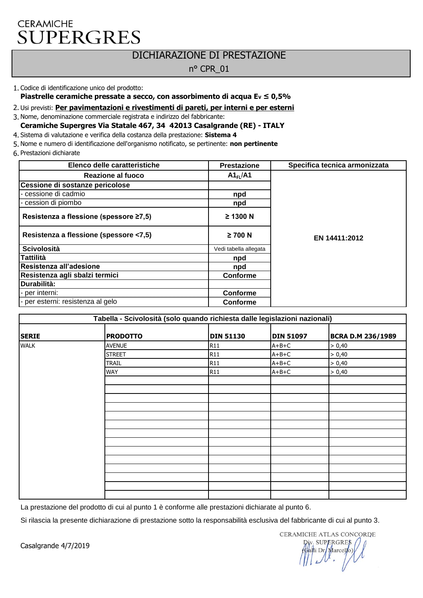## DICHIARAZIONE DI PRESTAZIONE

n° CPR\_01

#### 1. Codice di identificazione unico del prodotto:

**Piastrelle ceramiche pressate a secco, con assorbimento di acqua EV ≤ 0,5%**

2. Usi previsti: **Per pavimentazioni e rivestimenti di pareti, per interni e per esterni**

3. Nome, denominazione commerciale registrata e indirizzo del fabbricante:

**Ceramiche Supergres Via Statale 467, 34 42013 Casalgrande (RE) - ITALY**

4. Sistema di valutazione e verifica della costanza della prestazione: **Sistema 4**

5. Nome e numero di identificazione dell'organismo notificato, se pertinente: **non pertinente**

6. Prestazioni dichiarate

| Elenco delle caratteristiche           | <b>Prestazione</b>    | Specifica tecnica armonizzata |
|----------------------------------------|-----------------------|-------------------------------|
| Reazione al fuoco                      | A1 <sub>FI</sub> /A1  |                               |
| Cessione di sostanze pericolose        |                       |                               |
| - cessione di cadmio                   | npd                   |                               |
| - cession di piombo                    | npd                   |                               |
| Resistenza a flessione (spessore ≥7,5) | $\geq$ 1300 N         |                               |
| Resistenza a flessione (spessore <7,5) | $\geq 700$ N          | EN 14411:2012                 |
| <b>Scivolosità</b>                     | Vedi tabella allegata |                               |
| <b>Tattilità</b>                       | npd                   |                               |
| Resistenza all'adesione                | npd                   |                               |
| Resistenza agli sbalzi termici         | Conforme              |                               |
| Durabilità:                            |                       |                               |
| - per interni:                         | <b>Conforme</b>       |                               |
| - per esterni: resistenza al gelo      | Conforme              |                               |

| Tabella - Scivolosità (solo quando richiesta dalle legislazioni nazionali) |                 |                  |                  |                          |
|----------------------------------------------------------------------------|-----------------|------------------|------------------|--------------------------|
| <b>SERIE</b>                                                               | <b>PRODOTTO</b> | <b>DIN 51130</b> | <b>DIN 51097</b> | <b>BCRA D.M 236/1989</b> |
| <b>WALK</b>                                                                | <b>AVENUE</b>   | R11              | $A+B+C$          | > 0,40                   |
|                                                                            | <b>STREET</b>   | <b>R11</b>       | $A+B+C$          | > 0,40                   |
|                                                                            | <b>TRAIL</b>    | <b>R11</b>       | $A+B+C$          | > 0,40                   |
|                                                                            | <b>WAY</b>      | <b>R11</b>       | $A + B + C$      | > 0,40                   |
|                                                                            |                 |                  |                  |                          |
|                                                                            |                 |                  |                  |                          |
|                                                                            |                 |                  |                  |                          |
|                                                                            |                 |                  |                  |                          |
|                                                                            |                 |                  |                  |                          |
|                                                                            |                 |                  |                  |                          |
|                                                                            |                 |                  |                  |                          |
|                                                                            |                 |                  |                  |                          |
|                                                                            |                 |                  |                  |                          |
|                                                                            |                 |                  |                  |                          |
|                                                                            |                 |                  |                  |                          |
|                                                                            |                 |                  |                  |                          |
|                                                                            |                 |                  |                  |                          |
|                                                                            |                 |                  |                  |                          |

La prestazione del prodotto di cui al punto 1 è conforme alle prestazioni dichiarate al punto 6.

Si rilascia la presente dichiarazione di prestazione sotto la responsabilità esclusiva del fabbricante di cui al punto 3.

CERAMICHE ATLAS CONCORDE **SUPERGRES** iv. SUPERGRES

Casalgrande 4/7/2019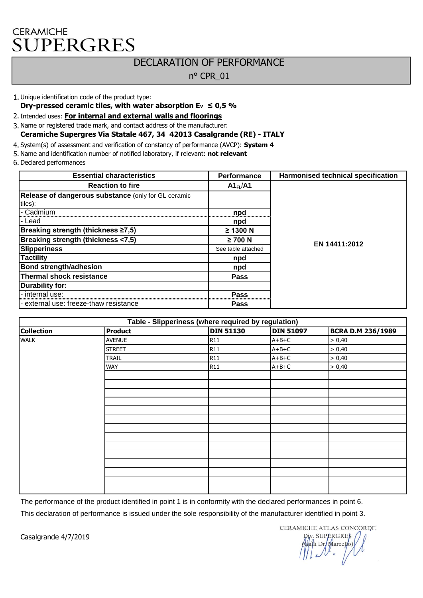### DECLARATION OF PERFORMANCE

n° CPR\_01

1. Unique identification code of the product type:

**Dry-pressed ceramic tiles, with water absorption E<sub>V</sub>**  $\leq$  **0,5 %** 

- 2. Intended uses: **For internal and external walls and floorings**
- 3. Name or registered trade mark, and contact address of the manufacturer:
- **Ceramiche Supergres Via Statale 467, 34 42013 Casalgrande (RE) ITALY**
- 4. System(s) of assessment and verification of constancy of performance (AVCP): **System 4**
- 5. Name and identification number of notified laboratory, if relevant: **not relevant**
- 6. Declared performances

| <b>Essential characteristics</b>                    | Performance          | <b>Harmonised technical specification</b> |
|-----------------------------------------------------|----------------------|-------------------------------------------|
| <b>Reaction to fire</b>                             | A1 <sub>FI</sub> /A1 |                                           |
| Release of dangerous substance (only for GL ceramic |                      |                                           |
| tiles):                                             |                      |                                           |
| - Cadmium                                           | npd                  |                                           |
| - Lead                                              | npd                  |                                           |
| Breaking strength (thickness ≥7,5)                  | $\geq$ 1300 N        |                                           |
| Breaking strength (thickness <7,5)                  | $\geq 700$ N         | EN 14411:2012                             |
| <b>Slipperiness</b>                                 | See table attached   |                                           |
| <b>Tactility</b>                                    | npd                  |                                           |
| <b>Bond strength/adhesion</b>                       | npd                  |                                           |
| Thermal shock resistance                            | <b>Pass</b>          |                                           |
| <b>Durability for:</b>                              |                      |                                           |
| - internal use:                                     | <b>Pass</b>          |                                           |
| - external use: freeze-thaw resistance              | Pass                 |                                           |

| Table - Slipperiness (where required by regulation) |                |                  |                  |                          |
|-----------------------------------------------------|----------------|------------------|------------------|--------------------------|
| <b>Collection</b>                                   | <b>Product</b> | <b>DIN 51130</b> | <b>DIN 51097</b> | <b>BCRA D.M 236/1989</b> |
| <b>WALK</b>                                         | <b>AVENUE</b>  | <b>R11</b>       | $A+B+C$          | > 0,40                   |
|                                                     | <b>STREET</b>  | <b>R11</b>       | $A+B+C$          | > 0,40                   |
|                                                     | <b>TRAIL</b>   | R11              | $A+B+C$          | > 0,40                   |
|                                                     | <b>WAY</b>     | <b>R11</b>       | $A+B+C$          | > 0,40                   |
|                                                     |                |                  |                  |                          |
|                                                     |                |                  |                  |                          |
|                                                     |                |                  |                  |                          |
|                                                     |                |                  |                  |                          |
|                                                     |                |                  |                  |                          |
|                                                     |                |                  |                  |                          |
|                                                     |                |                  |                  |                          |
|                                                     |                |                  |                  |                          |
|                                                     |                |                  |                  |                          |
|                                                     |                |                  |                  |                          |
|                                                     |                |                  |                  |                          |
|                                                     |                |                  |                  |                          |
|                                                     |                |                  |                  |                          |
|                                                     |                |                  |                  |                          |

The performance of the product identified in point 1 is in conformity with the declared performances in point 6. This declaration of performance is issued under the sole responsibility of the manufacturer identified in point 3.

Casalgrande 4/7/2019

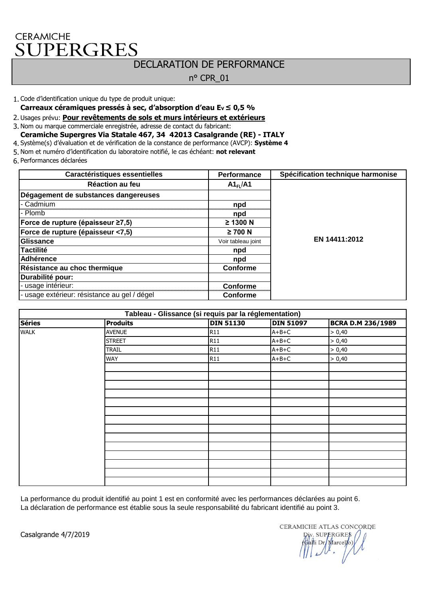## DECLARATION DE PERFORMANCE

n° CPR\_01

- 1. Code d'identification unique du type de produit unique:
- **Carreaux céramiques pressés à sec, d'absorption d'eau EV ≤ 0,5 %**
- 2. Usages prévu: **Pour revêtements de sols et murs intérieurs et extérieurs**
- 3. Nom ou marque commerciale enregistrée, adresse de contact du fabricant:
- **Ceramiche Supergres Via Statale 467, 34 42013 Casalgrande (RE) ITALY**
- 4. Système(s) d'évaluation et de vérification de la constance de performance (AVCP): **Système 4**
- 5. Nom et numéro d'identification du laboratoire notifié, le cas échéant: **not relevant**
- 6. Performances déclarées

| Caractéristiques essentielles                | Performance          | Spécification technique harmonise |
|----------------------------------------------|----------------------|-----------------------------------|
| <b>Réaction au feu</b>                       | A1 <sub>FI</sub> /A1 |                                   |
| Dégagement de substances dangereuses         |                      |                                   |
| - Cadmium                                    | npd                  |                                   |
| - Plomb                                      | npd                  |                                   |
| Force de rupture (épaisseur ≥7,5)            | ≥ 1300 N             |                                   |
| Force de rupture (épaisseur <7,5)            | $\geq 700$ N         |                                   |
| Glissance                                    | Voir tableau joint   | EN 14411:2012                     |
| <b>Tactilité</b>                             | npd                  |                                   |
| <b>Adhérence</b>                             | npd                  |                                   |
| Résistance au choc thermique                 | Conforme             |                                   |
| Durabilité pour:                             |                      |                                   |
| - usage intérieur:                           | <b>Conforme</b>      |                                   |
| - usage extérieur: résistance au gel / dégel | <b>Conforme</b>      |                                   |

| Tableau - Glissance (si requis par la réglementation) |                 |                  |                  |                          |  |
|-------------------------------------------------------|-----------------|------------------|------------------|--------------------------|--|
| <b>Séries</b>                                         | <b>Produits</b> | <b>DIN 51130</b> | <b>DIN 51097</b> | <b>BCRA D.M 236/1989</b> |  |
| <b>WALK</b>                                           | <b>AVENUE</b>   | R11              | $A+B+C$          | > 0,40                   |  |
|                                                       | <b>STREET</b>   | R11              | $A+B+C$          | > 0,40                   |  |
|                                                       | <b>TRAIL</b>    | R11              | $A+B+C$          | > 0,40                   |  |
|                                                       | <b>WAY</b>      | R11              | $A+B+C$          | > 0,40                   |  |
|                                                       |                 |                  |                  |                          |  |
|                                                       |                 |                  |                  |                          |  |
|                                                       |                 |                  |                  |                          |  |
|                                                       |                 |                  |                  |                          |  |
|                                                       |                 |                  |                  |                          |  |
|                                                       |                 |                  |                  |                          |  |
|                                                       |                 |                  |                  |                          |  |
|                                                       |                 |                  |                  |                          |  |
|                                                       |                 |                  |                  |                          |  |
|                                                       |                 |                  |                  |                          |  |
|                                                       |                 |                  |                  |                          |  |
|                                                       |                 |                  |                  |                          |  |
|                                                       |                 |                  |                  |                          |  |
|                                                       |                 |                  |                  |                          |  |

La performance du produit identifié au point 1 est en conformité avec les performances déclarées au point 6. La déclaration de performance est établie sous la seule responsabilité du fabricant identifié au point 3.

Casalgrande 4/7/2019